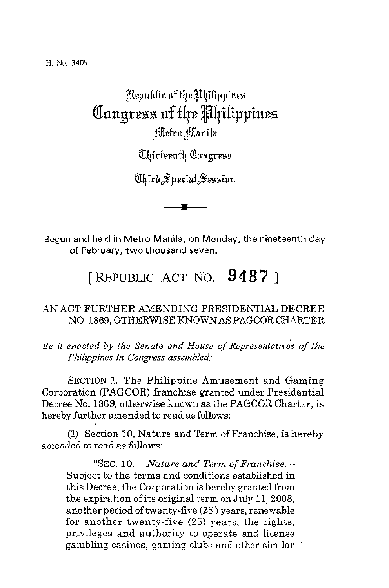**H. No. 3409** 

## Republic of the Philippines Congress of the Philippines Metro Manila

*<u>Uhirteenth</u>* Cangress

Ahird Special Session

Begun and held in Metro Manila, on Monday, the nineteenth day *of* February, two thousand seven.

[ REPUBLIC **ACT** NO. **9 4 8** '7 ]

## AN ACT FURTHER AMENDING PRESIDENTIAL DECREE NO. 1869, OTHERWISE KNOWNAS PAGCOR CHARTER

*Be it enacted by the Senate and House of Representatives of the Philippines in Congress assemble&* 

**SECTION** 1. The Philippine Amusement and Gaming Corporation (PAGCOR) franchise granted under Presidential Decree No. 1869, otherwise known as the PAGCOR Charter, is hereby further amended to read as follows:

(1) Section 10, Nature and Term of Franchise, is hereby amended *to* read as *follows:* 

**"SEC. 10.** *Nature and Term* of *Franchise.* - Subject to the terms and conditions established in this Decree, the Corporation is hereby granted from the expiration of its original term on July 11,2008, another period of twenty-five **(25** ) years, renewable for another twenty-five (25) years, the rights, privileges and authority to operate and license gambling casinos, gaming clubs and other similar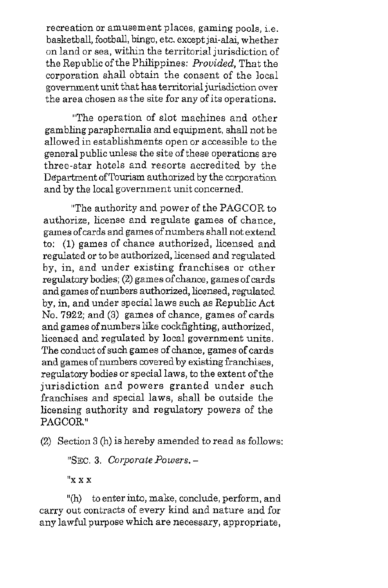recreation or amusement places, gaming pools, i.e. basketball, football, bingo, etc. except jai-dai, whether on land or sea, within the territorial jurisdiction of the Republic of the Philippines: *Prouided,* That the corporation shall obtain the consent of the local government unit that has territorial jurisdiction over the area chosen as the site for any of its operations.

"The operation of slot machines and other gambling paraphernalia and equipment, shall not be allowed in establishments open or accessible to the general public unless the site of these operations are three-star hotels and resorts accredited by the Department of Tourism authorized by the corporation and by the local government unit concerned.

"The authority and power of the PAGCOR to authorize, license and regulate games of chance, games of cards and games of numbers shall not extend to: (1) games of chance authorized, licensed and regulated or to be authorized, licensed and regulated by, in, and under existing franchises or other regulatory bodies; **(2)** games of chance, games of cards and games of numbers authorized, licensed, regulated by, in, and under special laws such as Republic Act No. 7922; and **(3)** games of chance, games of cards and games of numbers like cockfighting, authorized, licensed and regulated by local government units. The conduct of such games of chance, games of cards and games of numbers covered by existing franchises, regulatory bodies or special laws, to the extent of the jurisdiction and powers granted under such franchises and special laws, shall be outside the licensing authority and regulatory powers of the PAGCOR."

(2) Section **3** (h) is hereby amended to read as follows:

"SEC. **3.** *Corporate Powers.* -

**f'x** x x

"(h) to enter into, make, conclude, perform, and carry out contracts of every kind and nature and for any lawful purpose which are necessary, appropriate,